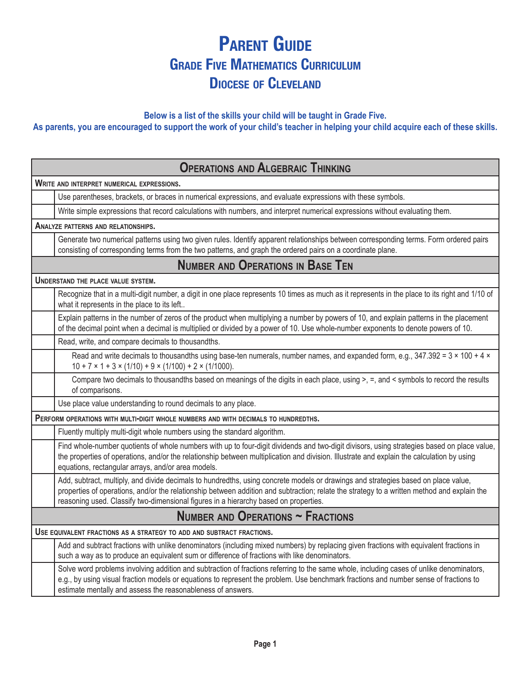## **Parent Guide Grade Five Mathematics Curriculum Diocese of Cleveland**

**Below is a list of the skills your child will be taught in Grade Five.** 

**As parents, you are encouraged to support the work of your child's teacher in helping your child acquire each of these skills.**

| <b>OPERATIONS AND ALGEBRAIC THINKING</b>                                                                                                                                                                                                                                                                                                                                  |  |  |  |
|---------------------------------------------------------------------------------------------------------------------------------------------------------------------------------------------------------------------------------------------------------------------------------------------------------------------------------------------------------------------------|--|--|--|
| <b>WRITE AND INTERPRET NUMERICAL EXPRESSIONS.</b>                                                                                                                                                                                                                                                                                                                         |  |  |  |
| Use parentheses, brackets, or braces in numerical expressions, and evaluate expressions with these symbols.                                                                                                                                                                                                                                                               |  |  |  |
| Write simple expressions that record calculations with numbers, and interpret numerical expressions without evaluating them.                                                                                                                                                                                                                                              |  |  |  |
| <b>ANALYZE PATTERNS AND RELATIONSHIPS.</b>                                                                                                                                                                                                                                                                                                                                |  |  |  |
| Generate two numerical patterns using two given rules. Identify apparent relationships between corresponding terms. Form ordered pairs<br>consisting of corresponding terms from the two patterns, and graph the ordered pairs on a coordinate plane.                                                                                                                     |  |  |  |
| <b>NUMBER AND OPERATIONS IN BASE TEN</b>                                                                                                                                                                                                                                                                                                                                  |  |  |  |
| UNDERSTAND THE PLACE VALUE SYSTEM.                                                                                                                                                                                                                                                                                                                                        |  |  |  |
| Recognize that in a multi-digit number, a digit in one place represents 10 times as much as it represents in the place to its right and 1/10 of<br>what it represents in the place to its left                                                                                                                                                                            |  |  |  |
| Explain patterns in the number of zeros of the product when multiplying a number by powers of 10, and explain patterns in the placement<br>of the decimal point when a decimal is multiplied or divided by a power of 10. Use whole-number exponents to denote powers of 10.                                                                                              |  |  |  |
| Read, write, and compare decimals to thousandths.                                                                                                                                                                                                                                                                                                                         |  |  |  |
| Read and write decimals to thousandths using base-ten numerals, number names, and expanded form, e.g., $347.392 = 3 \times 100 + 4 \times$<br>$10 + 7 \times 1 + 3 \times (1/10) + 9 \times (1/100) + 2 \times (1/1000)$ .                                                                                                                                                |  |  |  |
| Compare two decimals to thousandths based on meanings of the digits in each place, using >, =, and < symbols to record the results<br>of comparisons.                                                                                                                                                                                                                     |  |  |  |
| Use place value understanding to round decimals to any place.                                                                                                                                                                                                                                                                                                             |  |  |  |
| PERFORM OPERATIONS WITH MULTI-DIGIT WHOLE NUMBERS AND WITH DECIMALS TO HUNDREDTHS.                                                                                                                                                                                                                                                                                        |  |  |  |
| Fluently multiply multi-digit whole numbers using the standard algorithm.                                                                                                                                                                                                                                                                                                 |  |  |  |
| Find whole-number quotients of whole numbers with up to four-digit dividends and two-digit divisors, using strategies based on place value,<br>the properties of operations, and/or the relationship between multiplication and division. Illustrate and explain the calculation by using<br>equations, rectangular arrays, and/or area models.                           |  |  |  |
| Add, subtract, multiply, and divide decimals to hundredths, using concrete models or drawings and strategies based on place value,<br>properties of operations, and/or the relationship between addition and subtraction; relate the strategy to a written method and explain the<br>reasoning used. Classify two-dimensional figures in a hierarchy based on properties. |  |  |  |
| <b>NUMBER AND OPERATIONS ~ FRACTIONS</b>                                                                                                                                                                                                                                                                                                                                  |  |  |  |
| USE EQUIVALENT FRACTIONS AS A STRATEGY TO ADD AND SUBTRACT FRACTIONS.                                                                                                                                                                                                                                                                                                     |  |  |  |
| Add and subtract fractions with unlike denominators (including mixed numbers) by replacing given fractions with equivalent fractions in<br>such a way as to produce an equivalent sum or difference of fractions with like denominators.                                                                                                                                  |  |  |  |
| Solve word problems involving addition and subtraction of fractions referring to the same whole, including cases of unlike denominators,<br>e.g., by using visual fraction models or equations to represent the problem. Use benchmark fractions and number sense of fractions to<br>estimate mentally and assess the reasonableness of answers.                          |  |  |  |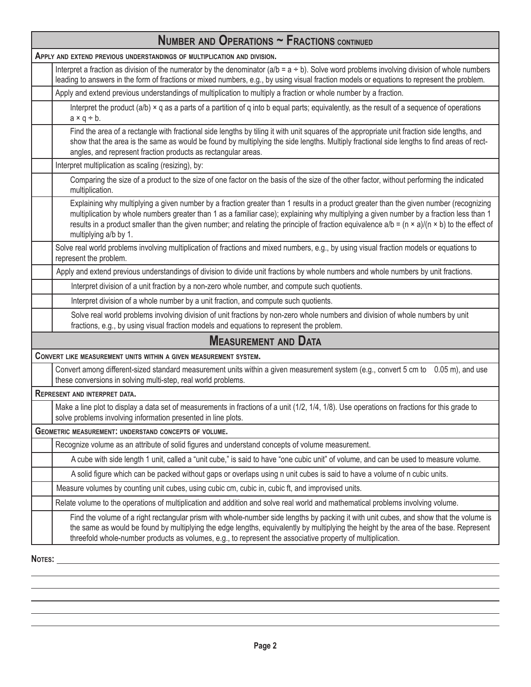| <b>NUMBER AND OPERATIONS <math>\sim</math> FRACTIONS CONTINUED</b>       |                                                                                                                                                                                                                                                                                                                                                                                                                                                                         |  |  |
|--------------------------------------------------------------------------|-------------------------------------------------------------------------------------------------------------------------------------------------------------------------------------------------------------------------------------------------------------------------------------------------------------------------------------------------------------------------------------------------------------------------------------------------------------------------|--|--|
| APPLY AND EXTEND PREVIOUS UNDERSTANDINGS OF MULTIPLICATION AND DIVISION. |                                                                                                                                                                                                                                                                                                                                                                                                                                                                         |  |  |
|                                                                          | Interpret a fraction as division of the numerator by the denominator $(a/b = a + b)$ . Solve word problems involving division of whole numbers<br>leading to answers in the form of fractions or mixed numbers, e.g., by using visual fraction models or equations to represent the problem.                                                                                                                                                                            |  |  |
|                                                                          | Apply and extend previous understandings of multiplication to multiply a fraction or whole number by a fraction.                                                                                                                                                                                                                                                                                                                                                        |  |  |
|                                                                          | Interpret the product (a/b) × q as a parts of a partition of q into b equal parts; equivalently, as the result of a sequence of operations<br>$a \times q \div b$ .                                                                                                                                                                                                                                                                                                     |  |  |
|                                                                          | Find the area of a rectangle with fractional side lengths by tiling it with unit squares of the appropriate unit fraction side lengths, and<br>show that the area is the same as would be found by multiplying the side lengths. Multiply fractional side lengths to find areas of rect-<br>angles, and represent fraction products as rectangular areas.                                                                                                               |  |  |
|                                                                          | Interpret multiplication as scaling (resizing), by:                                                                                                                                                                                                                                                                                                                                                                                                                     |  |  |
|                                                                          | Comparing the size of a product to the size of one factor on the basis of the size of the other factor, without performing the indicated<br>multiplication.                                                                                                                                                                                                                                                                                                             |  |  |
|                                                                          | Explaining why multiplying a given number by a fraction greater than 1 results in a product greater than the given number (recognizing<br>multiplication by whole numbers greater than 1 as a familiar case); explaining why multiplying a given number by a fraction less than 1<br>results in a product smaller than the given number; and relating the principle of fraction equivalence $a/b = (n \times a)/(n \times b)$ to the effect of<br>multiplying a/b by 1. |  |  |
|                                                                          | Solve real world problems involving multiplication of fractions and mixed numbers, e.g., by using visual fraction models or equations to<br>represent the problem.                                                                                                                                                                                                                                                                                                      |  |  |
|                                                                          | Apply and extend previous understandings of division to divide unit fractions by whole numbers and whole numbers by unit fractions.                                                                                                                                                                                                                                                                                                                                     |  |  |
|                                                                          | Interpret division of a unit fraction by a non-zero whole number, and compute such quotients.                                                                                                                                                                                                                                                                                                                                                                           |  |  |
|                                                                          | Interpret division of a whole number by a unit fraction, and compute such quotients.                                                                                                                                                                                                                                                                                                                                                                                    |  |  |
|                                                                          | Solve real world problems involving division of unit fractions by non-zero whole numbers and division of whole numbers by unit<br>fractions, e.g., by using visual fraction models and equations to represent the problem.                                                                                                                                                                                                                                              |  |  |
|                                                                          | <b>MEASUREMENT AND DATA</b>                                                                                                                                                                                                                                                                                                                                                                                                                                             |  |  |
| CONVERT LIKE MEASUREMENT UNITS WITHIN A GIVEN MEASUREMENT SYSTEM.        |                                                                                                                                                                                                                                                                                                                                                                                                                                                                         |  |  |
|                                                                          | Convert among different-sized standard measurement units within a given measurement system (e.g., convert 5 cm to 0.05 m), and use<br>these conversions in solving multi-step, real world problems.                                                                                                                                                                                                                                                                     |  |  |
| <b>REPRESENT AND INTERPRET DATA.</b>                                     |                                                                                                                                                                                                                                                                                                                                                                                                                                                                         |  |  |
|                                                                          | Make a line plot to display a data set of measurements in fractions of a unit (1/2, 1/4, 1/8). Use operations on fractions for this grade to<br>solve problems involving information presented in line plots.                                                                                                                                                                                                                                                           |  |  |
| <b>GEOMETRIC MEASUREMENT: UNDERSTAND CONCEPTS OF VOLUME.</b>             |                                                                                                                                                                                                                                                                                                                                                                                                                                                                         |  |  |
|                                                                          | Recognize volume as an attribute of solid figures and understand concepts of volume measurement.                                                                                                                                                                                                                                                                                                                                                                        |  |  |
|                                                                          | A cube with side length 1 unit, called a "unit cube," is said to have "one cubic unit" of volume, and can be used to measure volume.                                                                                                                                                                                                                                                                                                                                    |  |  |
|                                                                          | A solid figure which can be packed without gaps or overlaps using n unit cubes is said to have a volume of n cubic units.                                                                                                                                                                                                                                                                                                                                               |  |  |
|                                                                          | Measure volumes by counting unit cubes, using cubic cm, cubic in, cubic ft, and improvised units.                                                                                                                                                                                                                                                                                                                                                                       |  |  |
|                                                                          | Relate volume to the operations of multiplication and addition and solve real world and mathematical problems involving volume.                                                                                                                                                                                                                                                                                                                                         |  |  |
|                                                                          | Find the volume of a right rectangular prism with whole-number side lengths by packing it with unit cubes, and show that the volume is<br>the same as would be found by multiplying the edge lengths, equivalently by multiplying the height by the area of the base. Represent<br>threefold whole-number products as volumes, e.g., to represent the associative property of multiplication.                                                                           |  |  |

**Notes:**

 $\overline{a}$ 

 $\overline{a}$